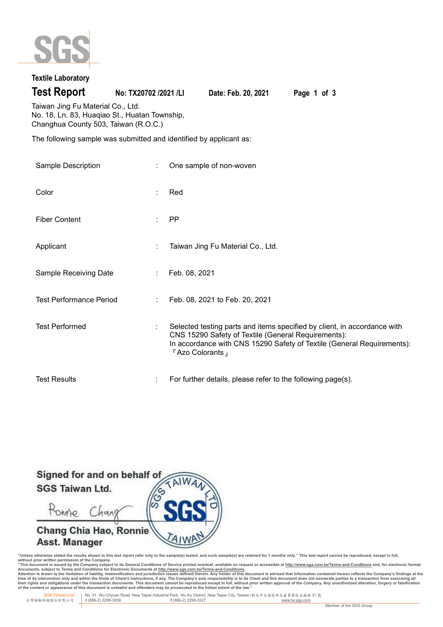

# **Textile Laboratory**

**Test Report No: TX20702 /2021 /LI Date: Feb. 20, 2021 Page 1 of 3**

Taiwan Jing Fu Material Co., Ltd. No. 18, Ln. 83, Huaqiao St., Huatan Township, Changhua County 503, Taiwan (R.O.C.)

The following sample was submitted and identified by applicant as:

| Sample Description             | One sample of non-woven                                                                                                                                                                                                        |
|--------------------------------|--------------------------------------------------------------------------------------------------------------------------------------------------------------------------------------------------------------------------------|
| Color                          | Red                                                                                                                                                                                                                            |
| <b>Fiber Content</b>           | <b>PP</b>                                                                                                                                                                                                                      |
| Applicant                      | Taiwan Jing Fu Material Co., Ltd.                                                                                                                                                                                              |
| Sample Receiving Date          | Feb. 08, 2021                                                                                                                                                                                                                  |
| <b>Test Performance Period</b> | Feb. 08, 2021 to Feb. 20, 2021                                                                                                                                                                                                 |
| <b>Test Performed</b>          | Selected testing parts and items specified by client, in accordance with<br>CNS 15290 Safety of Textile (General Requirements):<br>In accordance with CNS 15290 Safety of Textile (General Requirements):<br>『 Azo Colorants 』 |
| <b>Test Results</b>            | For further details, please refer to the following page(s).                                                                                                                                                                    |



"Unless otherwise stated the results shown in this test report refer only to the sample(s) tested, and such sample(s) are retained for 1 months only." This test report cannot be reproduced, except in full,<br>without prior wr

documents, subject to Terms and Conditions for Electronic Documents at <u>http://www.sqs.com.tw/Terms-and-Conditions</u><br>Attention is drawn to the limitation of liability, indemnification and jurisdiction issues defined threin.

 **SGS Taiwan Ltd.** No. 31, Wu Chyuan Road, New Taipei Industrial Park, Wu Ku District, New Taipei City, Taiwan /新北市五股區新北產業園區五權路 31 號 台灣檢驗科技股份有限公司 **t** (886-2) 2299-3939 **f** (886-2) 2299-3227 www.tw.sgs.com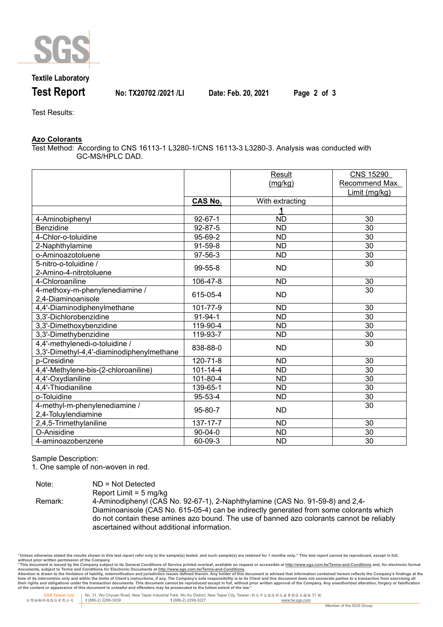

## **Textile Laboratory**

**Test Report No: TX20702 /2021 /LI Date: Feb. 20, 2021 Page 2 of 3**

Test Results:

### **Azo Colorants**

Test Method: According to CNS 16113-1 L3280-1/CNS 16113-3 L3280-3. Analysis was conducted with GC-MS/HPLC DAD.

|                                           |                | Result          | <b>CNS 15290</b> |
|-------------------------------------------|----------------|-----------------|------------------|
|                                           |                | (mg/kg)         | Recommend Max.   |
|                                           |                |                 | Limit (mg/kg)    |
|                                           | <b>CAS No.</b> | With extracting |                  |
|                                           |                | 1               |                  |
| 4-Aminobiphenyl                           | $92 - 67 - 1$  | $\overline{ND}$ | 30               |
| Benzidine                                 | $92 - 87 - 5$  | <b>ND</b>       | 30               |
| 4-Chlor-o-toluidine                       | 95-69-2        | $\overline{ND}$ | $\overline{30}$  |
| 2-Naphthylamine                           | $91-59-8$      | ND              | 30               |
| o-Aminoazotoluene                         | 97-56-3        | <b>ND</b>       | 30               |
| 5-nitro-o-toluidine /                     | 99-55-8        | <b>ND</b>       | 30               |
| 2-Amino-4-nitrotoluene                    |                |                 |                  |
| 4-Chloroaniline                           | 106-47-8       | <b>ND</b>       | 30               |
| 4-methoxy-m-phenylenediamine /            | 615-05-4       | <b>ND</b>       | 30               |
| 2,4-Diaminoanisole                        |                |                 |                  |
| 4,4'-Diaminodiphenylmethane               | 101-77-9       | <b>ND</b>       | 30               |
| 3,3'-Dichlorobenzidine                    | $91 - 94 - 1$  | <b>ND</b>       | 30               |
| 3,3'-Dimethoxybenzidine                   | 119-90-4       | <b>ND</b>       | 30               |
| 3,3'-Dimethybenzidine                     | 119-93-7       | <b>ND</b>       | 30               |
| 4,4'-methylenedi-o-toluidine /            | 838-88-0       | <b>ND</b>       | 30               |
| 3,3'-Dimethyl-4,4'-diaminodiphenylmethane |                |                 |                  |
| p-Cresidine                               | 120-71-8       | <b>ND</b>       | 30               |
| 4,4'-Methylene-bis-(2-chloroaniline)      | $101 - 14 - 4$ | <b>ND</b>       | 30               |
| 4,4'-Oxydianiline                         | 101-80-4       | <b>ND</b>       | 30               |
| 4,4'-Thiodianiline                        | 139-65-1       | <b>ND</b>       | 30               |
| o-Toluidine                               | 95-53-4        | <b>ND</b>       | 30               |
| 4-methyl-m-phenylenediamine /             | 95-80-7        | <b>ND</b>       | 30               |
| 2,4-Toluylendiamine                       |                |                 |                  |
| 2,4,5-Trimethylaniline                    | 137-17-7       | <b>ND</b>       | 30               |
| O-Anisidine                               | $90 - 04 - 0$  | <b>ND</b>       | 30               |
| 4-aminoazobenzene                         | 60-09-3        | <b>ND</b>       | 30               |

Sample Description:

1. One sample of non-woven in red.

| Note:   | $ND = Not$ Detected                                                                       |
|---------|-------------------------------------------------------------------------------------------|
|         | Report Limit = $5 \text{ mg/kg}$                                                          |
| Remark: | 4-Aminodiphenyl (CAS No. 92-67-1), 2-Naphthylamine (CAS No. 91-59-8) and 2,4-             |
|         | Diaminoanisole (CAS No. 615-05-4) can be indirectly generated from some colorants which   |
|         | do not contain these amines azo bound. The use of banned azo colorants cannot be reliably |
|         | ascertained without additional information.                                               |

"Unless otherwise stated the results shown in this test report refer only to the sample(s) tested, and such sample(s) are retained for 1 months only." This test report cannot be reproduced, except in full,<br>without prior wr

documents, subject to Terms and Conditions for Electronic Documents at <u>http://www.sqs.com.tw/Terms-and-Conditions</u><br>Attention is drawn to the limitation of liability, indemnification and jurisdiction issues defined threin.